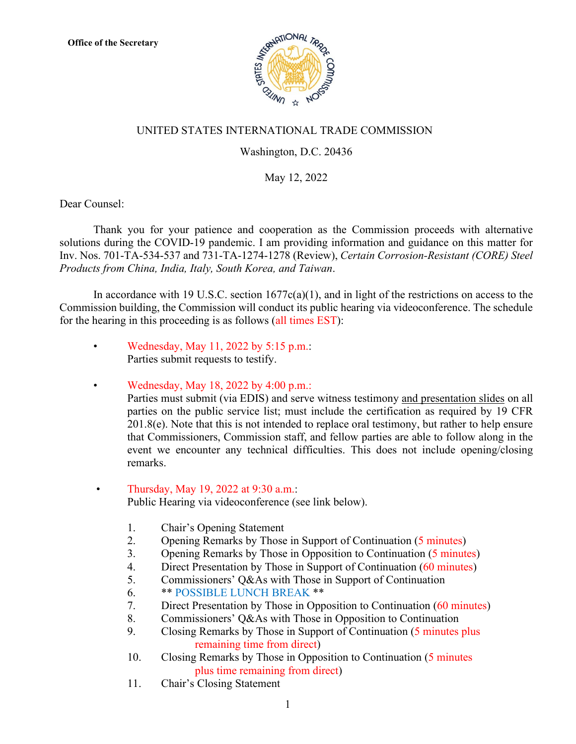

## UNITED STATES INTERNATIONAL TRADE COMMISSION

## Washington, D.C. 20436

## May 12, 2022

Dear Counsel:

Thank you for your patience and cooperation as the Commission proceeds with alternative solutions during the COVID-19 pandemic. I am providing information and guidance on this matter for Inv. Nos. 701-TA-534-537 and 731-TA-1274-1278 (Review), *Certain Corrosion-Resistant (CORE) Steel Products from China, India, Italy, South Korea, and Taiwan*.

In accordance with 19 U.S.C. section  $1677c(a)(1)$ , and in light of the restrictions on access to the Commission building, the Commission will conduct its public hearing via videoconference. The schedule for the hearing in this proceeding is as follows (all times EST):

• Wednesday, May 11, 2022 by 5:15 p.m.: Parties submit requests to testify.

• Wednesday, May 18, 2022 by 4:00 p.m.: Parties must submit (via EDIS) and serve witness testimony and presentation slides on all parties on the public service list; must include the certification as required by 19 CFR  $201.8(e)$ . Note that this is not intended to replace oral testimony, but rather to help ensure that Commissioners, Commission staff, and fellow parties are able to follow along in the event we encounter any technical difficulties. This does not include opening/closing remarks.

## • Thursday, May 19, 2022 at 9:30 a.m.: Public Hearing via videoconference (see link below).

- 1. Chair's Opening Statement
- 2. Opening Remarks by Those in Support of Continuation (5 minutes)
- 3. Opening Remarks by Those in Opposition to Continuation (5 minutes)
- 4. Direct Presentation by Those in Support of Continuation (60 minutes)
- 5. Commissioners' Q&As with Those in Support of Continuation
- 6. \*\* POSSIBLE LUNCH BREAK \*\*
- 7. Direct Presentation by Those in Opposition to Continuation (60 minutes)
- 8. Commissioners' Q&As with Those in Opposition to Continuation
- 9. Closing Remarks by Those in Support of Continuation (5 minutes plus remaining time from direct)
- 10. Closing Remarks by Those in Opposition to Continuation (5 minutes plus time remaining from direct)
- 11. Chair's Closing Statement